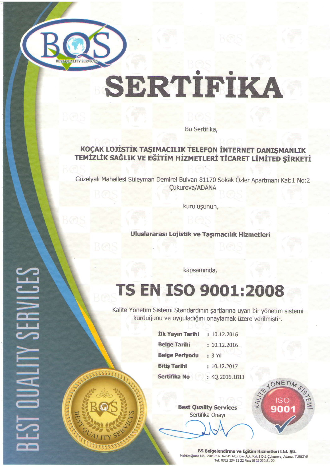

# SERTIFIKA

Bu Sertifika,

### KOÇAK LOJISTIK TAŞIMACILIK TELEFON İNTERNET DANIŞMANLIK TEMİZLİK SAĞLIK VE EĞİTİM HİZMETLERİ TİCARET LİMİTED ŞİRKETİ

Güzelyalı Mahallesi Süleyman Demirel Bulvarı 81170 Sokak Özler Apartmanı Kat:1 No:2 Cukurova/ADANA

kurulugunun,

Uluslararası Lojistik ve Taşımacılık Hizmetleri

kapsamında,

### TS EN ISO 9001:2009

Kalite Yönetim Sistemi Standardının şartlarına uyan bir yönetim sistemi kurduğunu ve uyguladığını onaylamak üzere verilmiştir.

| İlk Yayın Tarihi      | : 10.12.2016   |
|-----------------------|----------------|
| <b>Belge Tarihi</b>   | : 10.12.2016   |
| <b>Belge Periyodu</b> | : 3 Yıl        |
| <b>Bitis Tarihi</b>   | : 10.12.2017   |
| Sertifika No          | : KQ.2016.1811 |

Best Quality Services Sertifika Onayr



**BS Belgelendirme ve Eğitim Hizmetleri Ltd. Şti.**<br>Mahfesığmaz Mh. 79019 Sk. No:41 Altunbaş Apt. Kat:1 D:1 Çukurova, Adana, TÜRKİYE<br>Tel: 0322 234 81 22 Fax: 0322 232 81 22